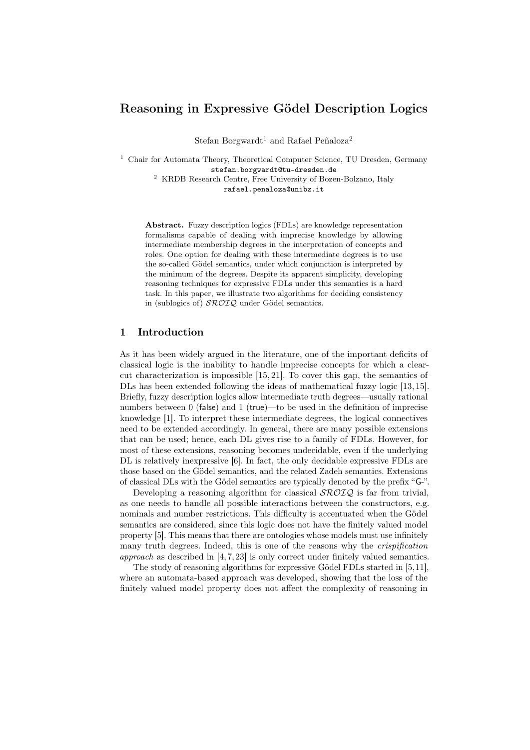# Reasoning in Expressive Gödel Description Logics

Stefan Borgwardt<sup>1</sup> and Rafael Peñaloza<sup>2</sup>

<sup>1</sup> Chair for Automata Theory, Theoretical Computer Science, TU Dresden, Germany stefan.borgwardt@tu-dresden.de <sup>2</sup> KRDB Research Centre, Free University of Bozen-Bolzano, Italy

rafael.penaloza@unibz.it

Abstract. Fuzzy description logics (FDLs) are knowledge representation formalisms capable of dealing with imprecise knowledge by allowing intermediate membership degrees in the interpretation of concepts and roles. One option for dealing with these intermediate degrees is to use the so-called Gödel semantics, under which conjunction is interpreted by the minimum of the degrees. Despite its apparent simplicity, developing reasoning techniques for expressive FDLs under this semantics is a hard task. In this paper, we illustrate two algorithms for deciding consistency in (sublogics of)  $\mathcal{SROIQ}$  under Gödel semantics.

## 1 Introduction

As it has been widely argued in the literature, one of the important deficits of classical logic is the inability to handle imprecise concepts for which a clearcut characterization is impossible [15, 21]. To cover this gap, the semantics of DLs has been extended following the ideas of mathematical fuzzy logic [13, 15]. Briefly, fuzzy description logics allow intermediate truth degrees—usually rational numbers between 0 (false) and 1 (true)—to be used in the definition of imprecise knowledge [1]. To interpret these intermediate degrees, the logical connectives need to be extended accordingly. In general, there are many possible extensions that can be used; hence, each DL gives rise to a family of FDLs. However, for most of these extensions, reasoning becomes undecidable, even if the underlying DL is relatively inexpressive [6]. In fact, the only decidable expressive FDLs are those based on the Gödel semantics, and the related Zadeh semantics. Extensions of classical DLs with the Gödel semantics are typically denoted by the prefix "G-".

Developing a reasoning algorithm for classical  $\mathcal{SROIO}$  is far from trivial, as one needs to handle all possible interactions between the constructors, e.g. nominals and number restrictions. This difficulty is accentuated when the Gödel semantics are considered, since this logic does not have the finitely valued model property [5]. This means that there are ontologies whose models must use infinitely many truth degrees. Indeed, this is one of the reasons why the crispification approach as described in [4, 7, 23] is only correct under finitely valued semantics.

The study of reasoning algorithms for expressive Gödel FDLs started in [5,11], where an automata-based approach was developed, showing that the loss of the finitely valued model property does not affect the complexity of reasoning in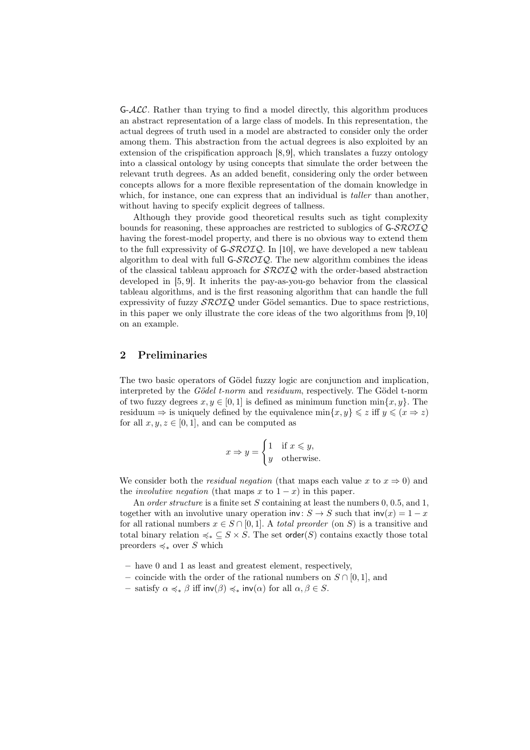$G-\mathcal{ALC}$ . Rather than trying to find a model directly, this algorithm produces an abstract representation of a large class of models. In this representation, the actual degrees of truth used in a model are abstracted to consider only the order among them. This abstraction from the actual degrees is also exploited by an extension of the crispification approach [8, 9], which translates a fuzzy ontology into a classical ontology by using concepts that simulate the order between the relevant truth degrees. As an added benefit, considering only the order between concepts allows for a more flexible representation of the domain knowledge in which, for instance, one can express that an individual is *taller* than another, without having to specify explicit degrees of tallness.

Although they provide good theoretical results such as tight complexity bounds for reasoning, these approaches are restricted to sublogics of  $G\text{-}\mathcal{SROLQ}$ having the forest-model property, and there is no obvious way to extend them to the full expressivity of  $G\text{-}\mathcal{SROLQ}$ . In [10], we have developed a new tableau algorithm to deal with full  $G\text{-}\mathcal{SROIO}$ . The new algorithm combines the ideas of the classical tableau approach for  $\mathcal{SROIQ}$  with the order-based abstraction developed in [5, 9]. It inherits the pay-as-you-go behavior from the classical tableau algorithms, and is the first reasoning algorithm that can handle the full expressivity of fuzzy  $\mathcal{SROIO}$  under Gödel semantics. Due to space restrictions, in this paper we only illustrate the core ideas of the two algorithms from [9, 10] on an example.

# 2 Preliminaries

The two basic operators of Gödel fuzzy logic are conjunction and implication, interpreted by the *Gödel t-norm* and *residuum*, respectively. The Gödel t-norm of two fuzzy degrees  $x, y \in [0, 1]$  is defined as minimum function  $\min\{x, y\}$ . The residuum  $\Rightarrow$  is uniquely defined by the equivalence  $\min\{x, y\} \leqslant z$  iff  $y \leqslant (x \Rightarrow z)$ for all  $x, y, z \in [0, 1]$ , and can be computed as

$$
x \Rightarrow y = \begin{cases} 1 & \text{if } x \leq y, \\ y & \text{otherwise.} \end{cases}
$$

We consider both the *residual negation* (that maps each value x to  $x \Rightarrow 0$ ) and the *involutive negation* (that maps x to  $1 - x$ ) in this paper.

An *order structure* is a finite set S containing at least the numbers 0, 0.5, and 1, together with an involutive unary operation inv:  $S \to S$  such that  $inv(x) = 1 - x$ for all rational numbers  $x \in S \cap [0,1]$ . A total preorder (on S) is a transitive and total binary relation  $\preccurlyeq_* \subseteq S \times S$ . The set order(S) contains exactly those total preorders  $\preccurlyeq_*$  over S which

- have 0 and 1 as least and greatest element, respectively,
- coincide with the order of the rational numbers on  $S \cap [0,1]$ , and
- satisfy  $\alpha \preccurlyeq_{*} \beta$  iff inv( $\beta$ )  $\preccurlyeq_{*}$  inv( $\alpha$ ) for all  $\alpha, \beta \in S$ .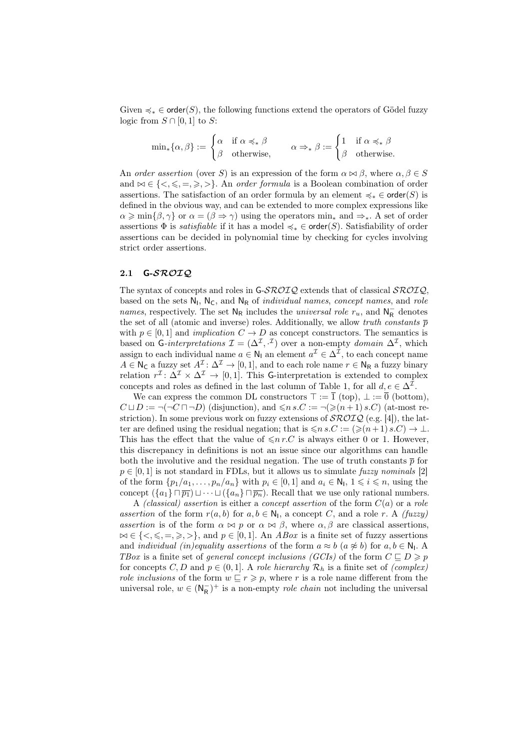Given  $\preccurlyeq_* \in \text{order}(S)$ , the following functions extend the operators of Gödel fuzzy logic from  $S \cap [0,1]$  to S:

$$
\min_* \{\alpha, \beta\} := \begin{cases} \alpha & \text{if } \alpha \preccurlyeq_* \beta \\ \beta & \text{otherwise,} \end{cases} \qquad \alpha \Rightarrow_* \beta := \begin{cases} 1 & \text{if } \alpha \preccurlyeq_* \beta \\ \beta & \text{otherwise.} \end{cases}
$$

An order assertion (over S) is an expression of the form  $\alpha \bowtie \beta$ , where  $\alpha, \beta \in S$ and  $\bowtie \in \{<,\leqslant,\ =\geqslant,\ \gt\}.$  An order formula is a Boolean combination of order assertions. The satisfaction of an order formula by an element  $\preccurlyeq_* \in \text{order}(S)$  is defined in the obvious way, and can be extended to more complex expressions like  $\alpha \geq \min\{\beta, \gamma\}$  or  $\alpha = (\beta \Rightarrow \gamma)$  using the operators  $\min_*$  and  $\Rightarrow_*$ . A set of order assertions  $\Phi$  is *satisfiable* if it has a model  $\prec_{*} \in \text{order}(S)$ . Satisfiability of order assertions can be decided in polynomial time by checking for cycles involving strict order assertions.

#### 2.1 G-SROIQ

The syntax of concepts and roles in G-SROIQ extends that of classical SROIQ, based on the sets  $N_l$ ,  $N_c$ , and  $N_R$  of *individual names, concept names*, and *role* names, respectively. The set  $N_R$  includes the *universal role*  $r_u$ , and  $N_R^-$  denotes the set of all (atomic and inverse) roles. Additionally, we allow truth constants  $\bar{p}$ with  $p \in [0,1]$  and *implication*  $C \to D$  as concept constructors. The semantics is based on G-interpretations  $\mathcal{I} = (\Delta^{\mathcal{I}}, \cdot^{\mathcal{I}})$  over a non-empty domain  $\Delta^{\mathcal{I}}$ , which assign to each individual name  $a \in \mathsf{N}_1$  an element  $a^{\mathcal{I}} \in \Delta^{\mathcal{I}}$ , to each concept name  $A \in \mathsf{N}_{\mathsf{C}}$  a fuzzy set  $A^{\mathcal{I}}: \Delta^{\mathcal{I}} \to [0,1]$ , and to each role name  $r \in \mathsf{N}_{\mathsf{R}}$  a fuzzy binary relation  $r^{\mathcal{I}}: \Delta^{\mathcal{I}} \times \Delta^{\mathcal{I}} \to [0, 1]$ . This G-interpretation is extended to complex concepts and roles as defined in the last column of Table 1, for all  $d, e \in \Delta^{\mathcal{I}}$ .

We can express the common DL constructors  $\top := \overline{1}$  (top),  $\bot := \overline{0}$  (bottom),  $C \sqcup D := \neg(\neg C \sqcap \neg D)$  (disjunction), and  $\leq n s.C := \neg (\geq (n+1) s.C)$  (at-most restriction). In some previous work on fuzzy extensions of  $\mathcal{SROLQ}$  (e.g. [4]), the latter are defined using the residual negation; that is  $\leqslant n s.C := (\geqslant(n+1) s.C) \rightarrow \bot$ . This has the effect that the value of  $\leq n r.C$  is always either 0 or 1. However, this discrepancy in definitions is not an issue since our algorithms can handle both the involutive and the residual negation. The use of truth constants  $\bar{p}$  for  $p \in [0, 1]$  is not standard in FDLs, but it allows us to simulate fuzzy nominals [2] of the form  $\{p_1/a_1, \ldots, p_n/a_n\}$  with  $p_i \in [0,1]$  and  $a_i \in \mathsf{N}_1, 1 \leq i \leq n$ , using the concept  $({a_1} \cap \overline{p_1}) \sqcup \cdots \sqcup ({a_n} \cap \overline{p_n})$ . Recall that we use only rational numbers.

A (classical) assertion is either a concept assertion of the form  $C(a)$  or a role assertion of the form  $r(a, b)$  for  $a, b \in \mathbb{N}_1$ , a concept C, and a role r. A (fuzzy) assertion is of the form  $\alpha \bowtie p$  or  $\alpha \bowtie \beta$ , where  $\alpha, \beta$  are classical assertions,  $\bowtie \in \{<,\leqslant,=,\geqslant,\geqslant\},\$ and  $p \in [0,1].$  An *ABox* is a finite set of fuzzy assertions and *individual (in)equality assertions* of the form  $a \approx b$  ( $a \not\approx b$ ) for  $a, b \in \mathbb{N}_1$ . A TBox is a finite set of general concept inclusions (GCIs) of the form  $C \subseteq D \geq p$ for concepts C, D and  $p \in (0,1]$ . A role hierarchy  $\mathcal{R}_h$  is a finite set of (complex) role inclusions of the form  $w \subseteq r \geq p$ , where r is a role name different from the universal role,  $w \in (\mathsf{N}_{\mathsf{R}}^-)^+$  is a non-empty *role chain* not including the universal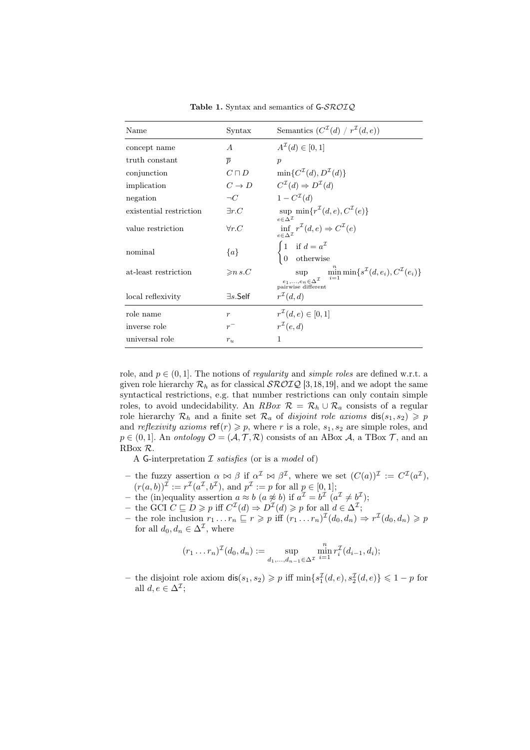| Name                    | Syntax                    | Semantics $(C^{\mathcal{I}}(d) / r^{\mathcal{I}}(d, e))$                                                                                      |
|-------------------------|---------------------------|-----------------------------------------------------------------------------------------------------------------------------------------------|
| concept name            | А                         | $A^{\mathcal{I}}(d) \in [0,1]$                                                                                                                |
| truth constant          | $\overline{p}$            | $\boldsymbol{p}$                                                                                                                              |
| conjunction             | $C\sqcap D$               | $\min\{C^{\mathcal{I}}(d), D^{\mathcal{I}}(d)\}\$                                                                                             |
| implication             | $C \rightarrow D$         | $C^{\mathcal{I}}(d) \Rightarrow D^{\mathcal{I}}(d)$                                                                                           |
| negation                | $\neg C$                  | $1-C^{\mathcal{I}}(d)$                                                                                                                        |
| existential restriction | $\exists r.C$             | sup $\min\{r^{\mathcal{I}}(d,e),C^{\mathcal{I}}(e)\}\$<br>$e \in \Delta^{\mathcal{I}}$                                                        |
| value restriction       | $\forall r.C$             | $\inf_{e \in \Delta^{\mathcal{I}}} r^{\mathcal{I}}(d,e) \Rightarrow C^{\mathcal{I}}(e)$                                                       |
| nominal                 | ${a}$                     | if $d = a^{\mathcal{I}}$<br>otherwise                                                                                                         |
| at-least restriction    | $\geqslant n s.C$         | $\min_{i=1}^{\infty} \min\{s^{\mathcal{I}}(d, e_i), C^{\mathcal{I}}(e_i)\}\$<br>sup<br>$e_1,,e_n \in \Delta^{\mathcal{I}}$ pairwise different |
| local reflexivity       | $\exists s.\mathsf{Self}$ | $r^{\mathcal{I}}(d,d)$                                                                                                                        |
| role name               | $\boldsymbol{r}$          | $r^{\mathcal{I}}(d,e) \in [0,1]$                                                                                                              |
| inverse role            | $r^-$                     | $r^{\mathcal{I}}(e,d)$                                                                                                                        |
| universal role          | $r_u$                     | 1                                                                                                                                             |

Table 1. Syntax and semantics of G-SROIQ

role, and  $p \in (0, 1]$ . The notions of *regularity* and *simple roles* are defined w.r.t. a given role hierarchy  $\mathcal{R}_h$  as for classical  $\mathcal{SROLQ}$  [3,18,19], and we adopt the same syntactical restrictions, e.g. that number restrictions can only contain simple roles, to avoid undecidability. An RBox  $\mathcal{R} = \mathcal{R}_h \cup \mathcal{R}_a$  consists of a regular role hierarchy  $\mathcal{R}_h$  and a finite set  $\mathcal{R}_a$  of *disjoint role axioms*  $dis(s_1, s_2) \geq p$ and *reflexivity axioms*  $ref(r) \geq p$ , where r is a role,  $s_1, s_2$  are simple roles, and  $p \in (0, 1]$ . An ontology  $\mathcal{O} = (\mathcal{A}, \mathcal{T}, \mathcal{R})$  consists of an ABox  $\mathcal{A}$ , a TBox  $\mathcal{T}$ , and an RBox R.

A G-interpretation  $\mathcal I$  satisfies (or is a model of)

- the fuzzy assertion  $\alpha \bowtie \beta$  if  $\alpha^{\mathcal{I}} \bowtie \beta^{\mathcal{I}}$ , where we set  $(C(a))^{\mathcal{I}} := C^{\mathcal{I}}(a^{\mathcal{I}})$ ,  $(r(a, b))^{\mathcal{I}} := r^{\mathcal{I}}(a^{\mathcal{I}}, b^{\mathcal{I}}),$  and  $p^{\mathcal{I}} := p$  for all  $p \in [0, 1]$ ;
- the (in)equality assertion  $a \approx b$   $(a \not\approx b)$  if  $a^{\mathcal{I}} = b^{\mathcal{I}}$   $(a^{\mathcal{I}} \neq b^{\mathcal{I}})$ ;
- the GCI  $C \sqsubseteq D \geq p$  iff  $C^{\mathcal{I}}(d) \Rightarrow D^{\mathcal{I}}(d) \geq p$  for all  $d \in \Delta^{\mathcal{I}}$ ;
- the role inclusion  $r_1 \tildot r \geqslant p$  iff  $(r_1 \tildot r_n)^{\mathcal{I}}(d_0, d_n) \Rightarrow r^{\mathcal{I}}(d_0, d_n) \geqslant p$ for all  $d_0, d_n \in \Delta^{\mathcal{I}}$ , where

$$
(r_1 \ldots r_n)^{\mathcal{I}}(d_0, d_n) := \sup_{d_1, \ldots, d_{n-1} \in \Delta^{\mathcal{I}}} \min_{i=1}^n r_i^{\mathcal{I}}(d_{i-1}, d_i);
$$

- the disjoint role axiom  $dis(s_1, s_2) \geq p$  iff  $min{s_1^{\mathcal{I}}(d, e), s_2^{\mathcal{I}}(d, e)} \leq 1 - p$  for all  $d, e \in \Delta^{\mathcal{I}}$ ;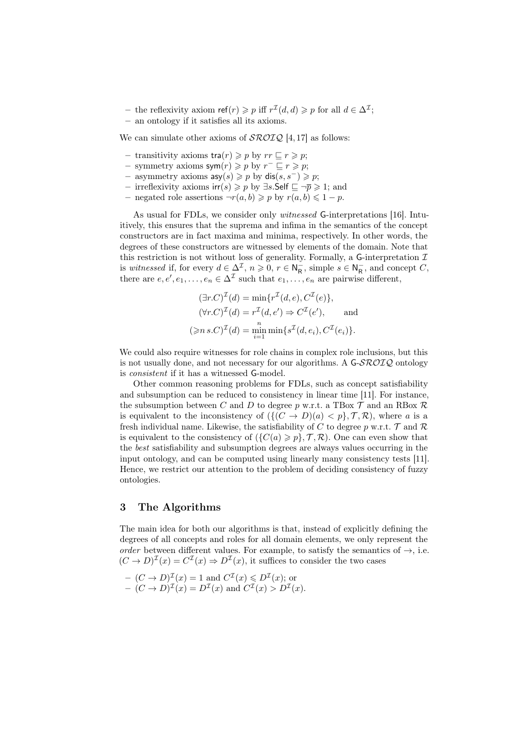- the reflexivity axiom  $\text{ref}(r) \geqslant p$  iff  $r^{\mathcal{I}}(d, d) \geqslant p$  for all  $d \in \Delta^{\mathcal{I}}$ ;
- an ontology if it satisfies all its axioms.

We can simulate other axioms of  $\mathcal{SROLQ}$  [4, 17] as follows:

- transitivity axioms  $\text{tra}(r) \geqslant p$  by  $rr \sqsubseteq r \geqslant p$ ;
- − symmetry axioms  $\mathsf{sym}(r) \geqslant p$  by  $r^- \sqsubseteq r \geqslant p$ ;
- asymmetry axioms  $asy(s) \geq p$  by  $dis(s, s<sup>-</sup>) \geq p$ ;
- irreflexivity axioms  $irr(s) \geq p$  by ∃s.Self  $\sqsubseteq \neg \overline{p} \geq 1$ ; and
- negated role assertions  $\neg r(a, b) \geqslant p$  by  $r(a, b) \leqslant 1 p$ .

As usual for FDLs, we consider only witnessed G-interpretations [16]. Intuitively, this ensures that the suprema and infima in the semantics of the concept constructors are in fact maxima and minima, respectively. In other words, the degrees of these constructors are witnessed by elements of the domain. Note that this restriction is not without loss of generality. Formally, a G-interpretation  $\mathcal I$ is witnessed if, for every  $d \in \Delta^{\mathcal{I}}$ ,  $n \geqslant 0$ ,  $r \in \mathsf{N}_{\mathsf{R}}^-$ , simple  $s \in \mathsf{N}_{\mathsf{R}}^-$ , and concept  $C$ , there are  $e, e', e_1, \ldots, e_n \in \Delta^{\mathcal{I}}$  such that  $e_1, \ldots, e_n$  are pairwise different,

$$
(\exists r.C)^{\mathcal{I}}(d) = \min\{r^{\mathcal{I}}(d,e), C^{\mathcal{I}}(e)\},
$$
  

$$
(\forall r.C)^{\mathcal{I}}(d) = r^{\mathcal{I}}(d,e') \Rightarrow C^{\mathcal{I}}(e'),
$$
 and  

$$
(\geq n s.C)^{\mathcal{I}}(d) = \min_{i=1}^{n} \min\{s^{\mathcal{I}}(d,e_i), C^{\mathcal{I}}(e_i)\}.
$$

We could also require witnesses for role chains in complex role inclusions, but this is not usually done, and not necessary for our algorithms. A  $G\text{-}SROIQ$  ontology is consistent if it has a witnessed G-model.

Other common reasoning problems for FDLs, such as concept satisfiability and subsumption can be reduced to consistency in linear time [11]. For instance, the subsumption between C and D to degree p w.r.t. a TBox  $\mathcal T$  and an RBox  $\mathcal R$ is equivalent to the inconsistency of  $({(C \rightarrow D)(a) < p}, \mathcal{T}, \mathcal{R})$ , where a is a fresh individual name. Likewise, the satisfiability of C to degree p w.r.t.  $\mathcal{T}$  and  $\mathcal{R}$ is equivalent to the consistency of  $({C(a) \geq p}, \mathcal{T}, \mathcal{R})$ . One can even show that the best satisfiability and subsumption degrees are always values occurring in the input ontology, and can be computed using linearly many consistency tests [11]. Hence, we restrict our attention to the problem of deciding consistency of fuzzy ontologies.

### 3 The Algorithms

The main idea for both our algorithms is that, instead of explicitly defining the degrees of all concepts and roles for all domain elements, we only represent the order between different values. For example, to satisfy the semantics of  $\rightarrow$ , i.e.  $(C \to D)^{\mathcal{I}}(x) = C^{\mathcal{I}}(x) \Rightarrow D^{\mathcal{I}}(x)$ , it suffices to consider the two cases

- $-(C \to D)^{\mathcal{I}}(x) = 1$  and  $C^{\mathcal{I}}(x) \leq D^{\mathcal{I}}(x)$ ; or
- $-(C \rightarrow D)^{\mathcal{I}}(x) = D^{\mathcal{I}}(x)$  and  $C^{\mathcal{I}}(x) > D^{\mathcal{I}}(x)$ .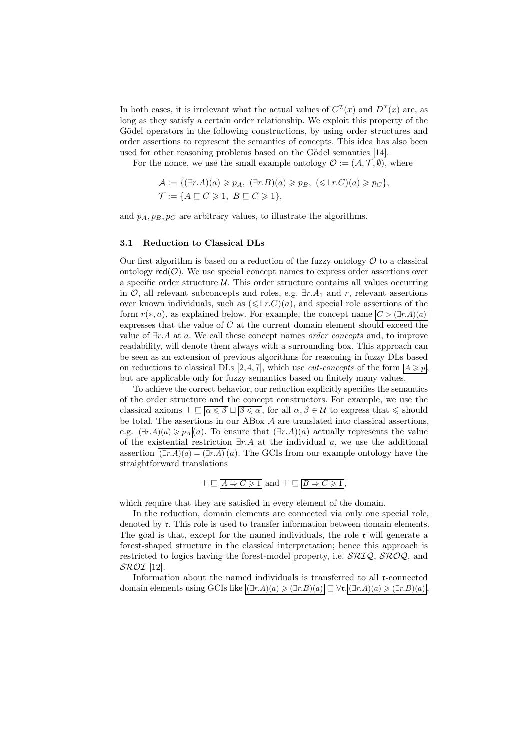In both cases, it is irrelevant what the actual values of  $C^{T}(x)$  and  $D^{T}(x)$  are, as long as they satisfy a certain order relationship. We exploit this property of the Gödel operators in the following constructions, by using order structures and order assertions to represent the semantics of concepts. This idea has also been used for other reasoning problems based on the Gödel semantics [14].

For the nonce, we use the small example ontology  $\mathcal{O} := (\mathcal{A}, \mathcal{T}, \emptyset)$ , where

$$
\mathcal{A} := \{ (\exists r.A)(a) \geq p_A, (\exists r.B)(a) \geq p_B, (\leq 1 r.C)(a) \geq p_C \},\
$$
  

$$
\mathcal{T} := \{ A \subseteq C \geq 1, B \subseteq C \geq 1 \},\
$$

and  $p_A, p_B, p_C$  are arbitrary values, to illustrate the algorithms.

#### 3.1 Reduction to Classical DLs

Our first algorithm is based on a reduction of the fuzzy ontology  $\mathcal O$  to a classical ontology  $\text{red}(\mathcal{O})$ . We use special concept names to express order assertions over a specific order structure  $U$ . This order structure contains all values occurring in  $\mathcal{O}$ , all relevant subconcepts and roles, e.g.  $\exists r.A_1$  and r, relevant assertions over known individuals, such as  $(\leq 1 r.C)(a)$ , and special role assertions of the form  $r(*, a)$ , as explained below. For example, the concept name  $|C > (\exists r.A)(a)|$ expresses that the value of  $C$  at the current domain element should exceed the value of  $\exists r.A$  at a. We call these concept names *order concepts* and, to improve readability, will denote them always with a surrounding box. This approach can be seen as an extension of previous algorithms for reasoning in fuzzy DLs based on reductions to classical DLs [2, 4, 7], which use *cut-concepts* of the form  $A \geq p$ , but are applicable only for fuzzy semantics based on finitely many values.

To achieve the correct behavior, our reduction explicitly specifies the semantics of the order structure and the concept constructors. For example, we use the classical axioms  $\top \sqsubseteq \overline{\alpha \leq \beta} \sqcup \overline{\beta \leq \alpha}$ , for all  $\alpha, \beta \in \mathcal{U}$  to express that  $\leq$  should be total. The assertions in our  $\overline{ABox}$  A are translated into classical assertions, e.g.  $(\exists r.A)(a) \geqslant p_A(a)$ . To ensure that  $(\exists r.A)(a)$  actually represents the value of the existential restriction  $\exists r.A$  at the individual a, we use the additional assertion  $(\exists r.A)(a) = (\exists r.A)(a)$ . The GCIs from our example ontology have the straightforward translations

$$
\top \sqsubseteq \overline{A \Rightarrow C \geq 1}
$$
 and  $\top \sqsubseteq \overline{B \Rightarrow C \geq 1}$ ,

which require that they are satisfied in every element of the domain.

In the reduction, domain elements are connected via only one special role, denoted by  $\mathfrak{r}$ . This role is used to transfer information between domain elements. The goal is that, except for the named individuals, the role  $\mathfrak r$  will generate a forest-shaped structure in the classical interpretation; hence this approach is restricted to logics having the forest-model property, i.e.  $\mathcal{SRIQ}, \mathcal{SROQ},$  and  $\mathcal{SROT}$  [12].

Information about the named individuals is transferred to all r-connected domain elements using GCIs like  $\boxed{(\exists r.A)(a) \geq (\exists r.B)(a)} \sqsubseteq \forall \mathfrak{r}.\boxed{(\exists r.A)(a) \geq (\exists r.B)(a)}$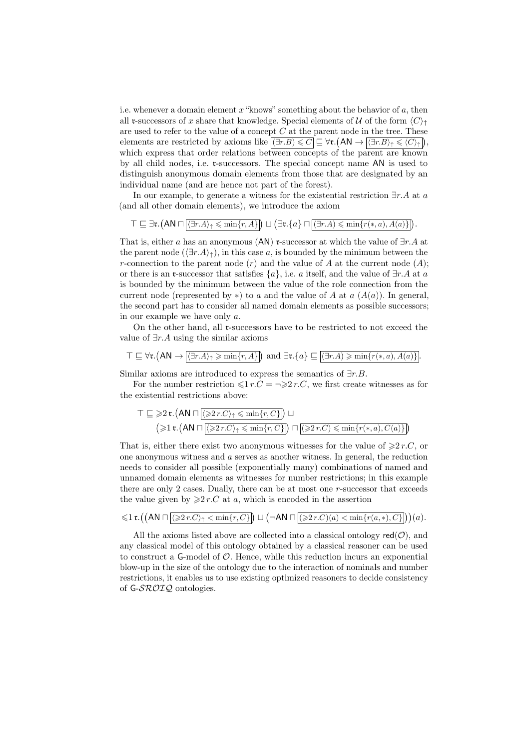i.e. whenever a domain element  $x$  "knows" something about the behavior of  $a$ , then all r-successors of x share that knowledge. Special elements of U of the form  $\langle C \rangle$ are used to refer to the value of a concept  $C$  at the parent node in the tree. These elements are restricted by axioms like  $\boxed{(\exists r.B) \leq C} \sqsubseteq \forall \mathfrak{r}.\overline{(AN \rightarrow [\langle \exists r.B \rangle_{\uparrow} \leq C)_{\uparrow}})},$ which express that order relations between concepts of the parent are known by all child nodes, i.e. r-successors. The special concept name AN is used to distinguish anonymous domain elements from those that are designated by an individual name (and are hence not part of the forest).

In our example, to generate a witness for the existential restriction  $\exists r.A$  at a (and all other domain elements), we introduce the axiom

 $\top \sqsubseteq \exists \mathfrak{r}.(\mathsf{AN} \sqcap \overline{\langle \exists r.A \rangle_{\uparrow} \leqslant \min\{r,A\}}]) \sqcup (\exists \mathfrak{r}.\{a\} \sqcap \overline{(\exists r.A) \leqslant \min\{r(*,a),A(a)\}}]).$ 

That is, either a has an anonymous (AN) r-successor at which the value of  $\exists r.A$  at the parent node  $(\exists r.A)_\uparrow$ , in this case a, is bounded by the minimum between the r-connection to the parent node  $(r)$  and the value of A at the current node  $(A)$ ; or there is an **r**-successor that satisfies  $\{a\}$ , i.e. a itself, and the value of  $\exists r.A$  at a is bounded by the minimum between the value of the role connection from the current node (represented by \*) to a and the value of A at a  $(A(a))$ . In general, the second part has to consider all named domain elements as possible successors; in our example we have only a.

On the other hand, all r-successors have to be restricted to not exceed the value of  $\exists r.A$  using the similar axioms

$$
\top \sqsubseteq \forall \mathbf{t}. \left( \mathsf{AN} \to \boxed{\langle \exists r. A \rangle_{\uparrow} \geqslant \min\{r, A\}} \right) \text{ and } \exists \mathbf{t}. \{a\} \sqsubseteq \boxed{(\exists r. A) \geqslant \min\{r(*, a), A(a)\}}.
$$

Similar axioms are introduced to express the semantics of  $\exists r.B$ .

For the number restriction  $\leq 1$  r.C =  $\Rightarrow$   $\geq$  r.C, we first create witnesses as for the existential restrictions above:

$$
\top \sqsubseteq \geqslant 2 \mathfrak{r}. \left( \text{AN} \sqcap \boxed{\langle \geqslant 2 \, r. C \rangle_{\uparrow} \leqslant \min \{r, C \} } \right) \sqcup \newline \left( \geqslant 1 \mathfrak{r}. \left( \text{AN} \sqcap \boxed{\langle \geqslant 2 \, r. C \rangle_{\uparrow} \leqslant \min \{r, C \} } \right) \sqcap \boxed{ \left( \geqslant 2 \, r. C \right) \leqslant \min \{r(*, a), C(a) \} } \right)
$$

That is, either there exist two anonymous witnesses for the value of  $\geq 2r.C$ , or one anonymous witness and a serves as another witness. In general, the reduction needs to consider all possible (exponentially many) combinations of named and unnamed domain elements as witnesses for number restrictions; in this example there are only 2 cases. Dually, there can be at most one r-successor that exceeds the value given by  $\geq 2r.C$  at a, which is encoded in the assertion

$$
\leqslant 1\, \mathfrak{r}. \left(\left(\textsf{AN} \sqcap \overline{\left( \geqslant 2\, r.C \right)_{\uparrow} < \min\{r, C\} }\right)\sqcup \left(\neg \textsf{AN} \sqcap \overline{\left( \geqslant 2\, r.C \right) (a) < \min\{r(a, *), C\} }\right]\right)(a).
$$

All the axioms listed above are collected into a classical ontology  $\text{red}(\mathcal{O})$ , and any classical model of this ontology obtained by a classical reasoner can be used to construct a  $G$ -model of  $\mathcal O$ . Hence, while this reduction incurs an exponential blow-up in the size of the ontology due to the interaction of nominals and number restrictions, it enables us to use existing optimized reasoners to decide consistency of G-SROIQ ontologies.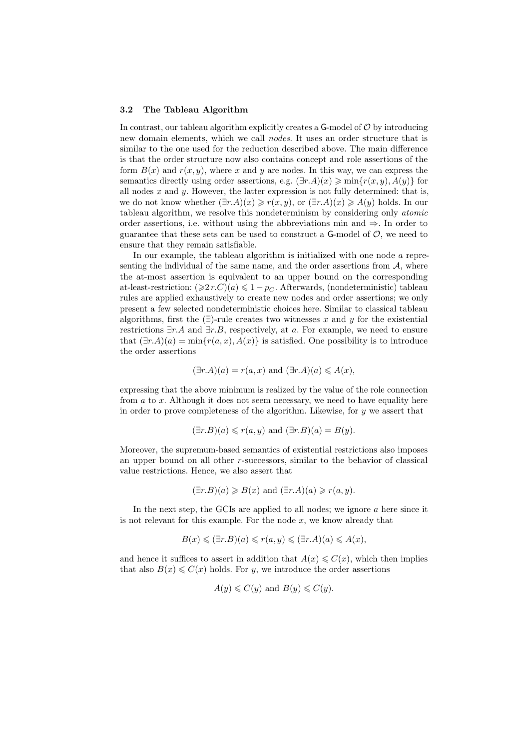#### 3.2 The Tableau Algorithm

In contrast, our tableau algorithm explicitly creates a  $G$ -model of  $\mathcal O$  by introducing new domain elements, which we call nodes. It uses an order structure that is similar to the one used for the reduction described above. The main difference is that the order structure now also contains concept and role assertions of the form  $B(x)$  and  $r(x, y)$ , where x and y are nodes. In this way, we can express the semantics directly using order assertions, e.g.  $(\exists r.A)(x) \geqslant \min\{r(x,y), A(y)\}\$ for all nodes  $x$  and  $y$ . However, the latter expression is not fully determined: that is, we do not know whether  $(\exists r.A)(x) \geq r(x, y)$ , or  $(\exists r.A)(x) \geq A(y)$  holds. In our tableau algorithm, we resolve this nondeterminism by considering only atomic order assertions, i.e. without using the abbreviations min and  $\Rightarrow$ . In order to guarantee that these sets can be used to construct a  $\mathsf{G}\text{-model}$  of  $\mathcal{O}$ , we need to ensure that they remain satisfiable.

In our example, the tableau algorithm is initialized with one node a representing the individual of the same name, and the order assertions from  $A$ , where the at-most assertion is equivalent to an upper bound on the corresponding at-least-restriction:  $(\geq 2r.C)(a) \leq 1-p_C$ . Afterwards, (nondeterministic) tableau rules are applied exhaustively to create new nodes and order assertions; we only present a few selected nondeterministic choices here. Similar to classical tableau algorithms, first the  $(\exists)$ -rule creates two witnesses x and y for the existential restrictions  $\exists r.A$  and  $\exists r.B$ , respectively, at a. For example, we need to ensure that  $(\exists r.A)(a) = \min\{r(a,x), A(x)\}\$ is satisfied. One possibility is to introduce the order assertions

$$
(\exists r.A)(a) = r(a,x)
$$
 and  $(\exists r.A)(a) \leq A(x)$ ,

expressing that the above minimum is realized by the value of the role connection from  $a$  to  $x$ . Although it does not seem necessary, we need to have equality here in order to prove completeness of the algorithm. Likewise, for y we assert that

$$
(\exists r.B)(a) \leq r(a, y)
$$
 and  $(\exists r.B)(a) = B(y)$ .

Moreover, the supremum-based semantics of existential restrictions also imposes an upper bound on all other r-successors, similar to the behavior of classical value restrictions. Hence, we also assert that

$$
(\exists r.B)(a) \ge B(x)
$$
 and  $(\exists r.A)(a) \ge r(a, y)$ .

In the next step, the GCIs are applied to all nodes; we ignore  $a$  here since it is not relevant for this example. For the node  $x$ , we know already that

$$
B(x) \leq (\exists r.B)(a) \leq r(a, y) \leq (\exists r.A)(a) \leq A(x),
$$

and hence it suffices to assert in addition that  $A(x) \leq C(x)$ , which then implies that also  $B(x) \leq C(x)$  holds. For y, we introduce the order assertions

$$
A(y) \leq C(y)
$$
 and  $B(y) \leq C(y)$ .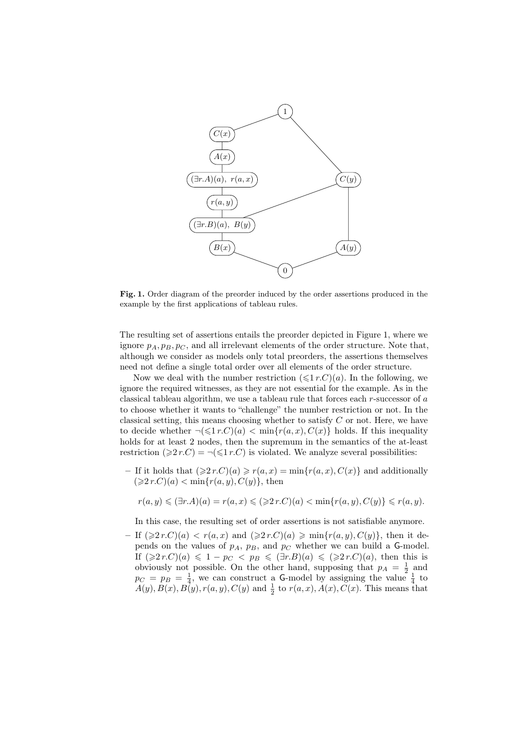

Fig. 1. Order diagram of the preorder induced by the order assertions produced in the example by the first applications of tableau rules.

The resulting set of assertions entails the preorder depicted in Figure 1, where we ignore  $p_A, p_B, p_C$ , and all irrelevant elements of the order structure. Note that, although we consider as models only total preorders, the assertions themselves need not define a single total order over all elements of the order structure.

Now we deal with the number restriction  $(\leq 1 r.C)(a)$ . In the following, we ignore the required witnesses, as they are not essential for the example. As in the classical tableau algorithm, we use a tableau rule that forces each r-successor of a to choose whether it wants to "challenge" the number restriction or not. In the classical setting, this means choosing whether to satisfy  $C$  or not. Here, we have to decide whether  $\neg(\leq 1 r.C)(a) < \min\{r(a,x), C(x)\}\)$  holds. If this inequality holds for at least 2 nodes, then the supremum in the semantics of the at-least restriction  $(\geq 2r.C) = \neg (\leq 1r.C)$  is violated. We analyze several possibilities:

– If it holds that  $(\geq 2r.C)(a) \geq r(a,x) = \min\{r(a,x), C(x)\}\$ and additionally  $(\geq 2r.C)(a) < \min\{r(a,y), C(y)\}\text{, then}$ 

$$
r(a,y) \leq (\exists r.A)(a) = r(a,x) \leq (\geq 2r.C)(a) < \min\{r(a,y),C(y)\} \leq r(a,y).
$$

In this case, the resulting set of order assertions is not satisfiable anymore.

– If  $(\geq 2r.C)(a) < r(a,x)$  and  $(\geq 2r.C)(a) \geq \min\{r(a,y), C(y)\}\)$ , then it depends on the values of  $p_A$ ,  $p_B$ , and  $p_C$  whether we can build a G-model. If  $(\geq 2r.C)(a) \leq 1 - p_C < p_B \leq (\exists r.B)(a) \leq (\geq 2r.C)(a)$ , then this is obviously not possible. On the other hand, supposing that  $p_A = \frac{1}{2}$  and  $p_C = p_B = \frac{1}{4}$ , we can construct a G-model by assigning the value  $\frac{1}{4}$  to  $A(y), B(x), B(y), r(a, y), C(y)$  and  $\frac{1}{2}$  to  $r(a, x), A(x), C(x)$ . This means that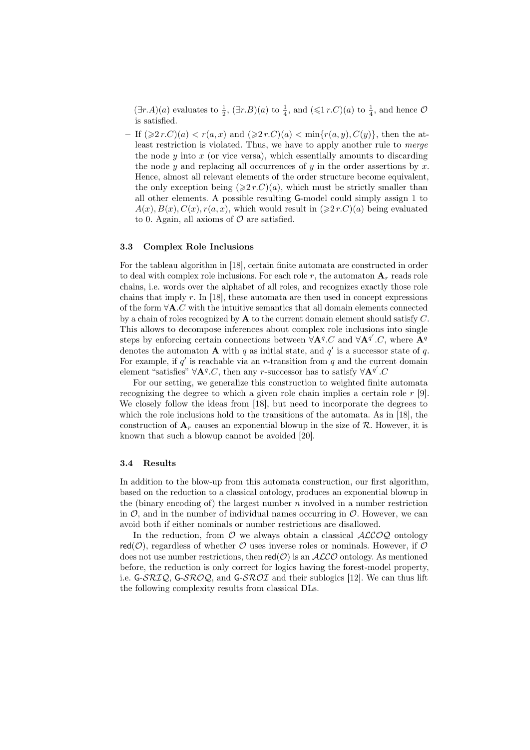$(\exists r.A)(a)$  evaluates to  $\frac{1}{2}$ ,  $(\exists r.B)(a)$  to  $\frac{1}{4}$ , and  $(\leq 1 r.C)(a)$  to  $\frac{1}{4}$ , and hence  $\mathcal{O}$ is satisfied.

 $-$  If  $(\geq 2r.C)(a) < r(a,x)$  and  $(\geq 2r.C)(a) < \min\{r(a,y), C(y)\}\)$ , then the atleast restriction is violated. Thus, we have to apply another rule to *merge* the node  $y$  into  $x$  (or vice versa), which essentially amounts to discarding the node y and replacing all occurrences of y in the order assertions by x. Hence, almost all relevant elements of the order structure become equivalent, the only exception being  $(\geq 2r.C)(a)$ , which must be strictly smaller than all other elements. A possible resulting G-model could simply assign 1 to  $A(x), B(x), C(x), r(a, x)$ , which would result in  $(\geq 2r.C)(a)$  being evaluated to 0. Again, all axioms of  $\mathcal O$  are satisfied.

#### 3.3 Complex Role Inclusions

For the tableau algorithm in [18], certain finite automata are constructed in order to deal with complex role inclusions. For each role r, the automaton  $A<sub>r</sub>$  reads role chains, i.e. words over the alphabet of all roles, and recognizes exactly those role chains that imply  $r$ . In [18], these automata are then used in concept expressions of the form ∀A.C with the intuitive semantics that all domain elements connected by a chain of roles recognized by  $\bf{A}$  to the current domain element should satisfy  $C$ . This allows to decompose inferences about complex role inclusions into single steps by enforcing certain connections between  $\forall A^q.C$  and  $\forall A^{q'}.C$ , where  $\mathbf{A}^q$ denotes the automaton **A** with q as initial state, and  $q'$  is a successor state of q. For example, if  $q'$  is reachable via an r-transition from  $q$  and the current domain element "satisfies"  $\forall A^q.C$ , then any r-successor has to satisfy  $\forall A^{q'}.C$ 

For our setting, we generalize this construction to weighted finite automata recognizing the degree to which a given role chain implies a certain role  $r$  [9]. We closely follow the ideas from [18], but need to incorporate the degrees to which the role inclusions hold to the transitions of the automata. As in [18], the construction of  $A_r$  causes an exponential blowup in the size of  $\mathcal R$ . However, it is known that such a blowup cannot be avoided [20].

#### 3.4 Results

In addition to the blow-up from this automata construction, our first algorithm, based on the reduction to a classical ontology, produces an exponential blowup in the (binary encoding of) the largest number  $n$  involved in a number restriction in  $\mathcal{O}$ , and in the number of individual names occurring in  $\mathcal{O}$ . However, we can avoid both if either nominals or number restrictions are disallowed.

In the reduction, from  $\mathcal O$  we always obtain a classical  $\mathcal{ALCOQ}$  ontology red( $\mathcal{O}$ ), regardless of whether  $\mathcal O$  uses inverse roles or nominals. However, if  $\mathcal O$ does not use number restrictions, then  $red(O)$  is an  $ALCO$  ontology. As mentioned before, the reduction is only correct for logics having the forest-model property, i.e. G-SRIQ, G-SROQ, and G-SROI and their sublogics [12]. We can thus lift the following complexity results from classical DLs.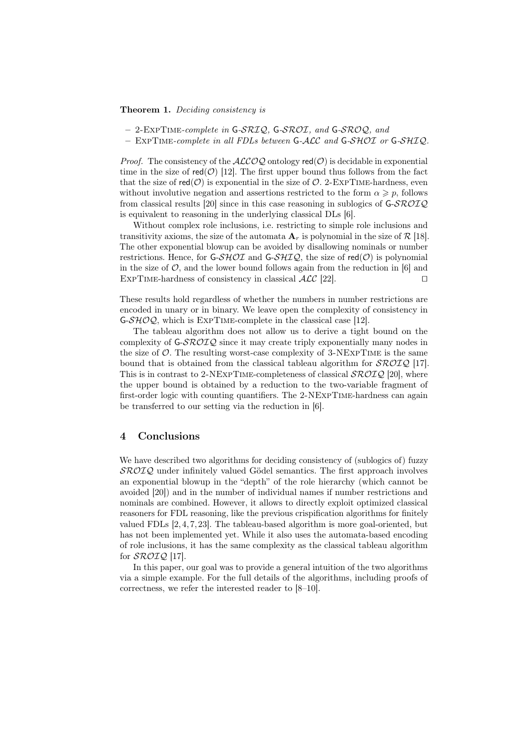Theorem 1. Deciding consistency is

- $-2$ -EXPTIME-complete in G-SRIQ, G-SROI, and G-SROQ, and
- $-$  EXPTIME-complete in all FDLs between G-ALC and G-SHOI or G-SHIQ.

*Proof.* The consistency of the  $ALCOQ$  ontology red( $O$ ) is decidable in exponential time in the size of  $red(O)$  [12]. The first upper bound thus follows from the fact that the size of  $red(\mathcal{O})$  is exponential in the size of  $\mathcal{O}$ . 2-EXPTIME-hardness, even without involutive negation and assertions restricted to the form  $\alpha \geqslant p$ , follows from classical results [20] since in this case reasoning in sublogics of  $G\text{-}SROIQ$ is equivalent to reasoning in the underlying classical DLs [6].

Without complex role inclusions, i.e. restricting to simple role inclusions and transitivity axioms, the size of the automata  $A_r$  is polynomial in the size of R [18]. The other exponential blowup can be avoided by disallowing nominals or number restrictions. Hence, for G-SHOI and G-SHIQ, the size of  $red(O)$  is polynomial in the size of  $\mathcal{O}$ , and the lower bound follows again from the reduction in [6] and EXPTIME-hardness of consistency in classical  $\mathcal{ALC}$  [22].

These results hold regardless of whether the numbers in number restrictions are encoded in unary or in binary. We leave open the complexity of consistency in  $G-SHOQ$ , which is EXPTIME-complete in the classical case [12].

The tableau algorithm does not allow us to derive a tight bound on the complexity of  $G\text{-}$   $\mathcal{SRO}IQ$  since it may create triply exponentially many nodes in the size of  $\mathcal{O}$ . The resulting worst-case complexity of 3-NEXPTIME is the same bound that is obtained from the classical tableau algorithm for  $\mathcal{SROIQ}$  [17]. This is in contrast to 2-NEXPTIME-completeness of classical  $\mathcal{SROLQ}$  [20], where the upper bound is obtained by a reduction to the two-variable fragment of first-order logic with counting quantifiers. The 2-NExpTime-hardness can again be transferred to our setting via the reduction in [6].

# 4 Conclusions

We have described two algorithms for deciding consistency of (sublogics of) fuzzy SROIQ under infinitely valued Gödel semantics. The first approach involves an exponential blowup in the "depth" of the role hierarchy (which cannot be avoided [20]) and in the number of individual names if number restrictions and nominals are combined. However, it allows to directly exploit optimized classical reasoners for FDL reasoning, like the previous crispification algorithms for finitely valued FDLs [2, 4, 7, 23]. The tableau-based algorithm is more goal-oriented, but has not been implemented yet. While it also uses the automata-based encoding of role inclusions, it has the same complexity as the classical tableau algorithm for SROIQ [17].

In this paper, our goal was to provide a general intuition of the two algorithms via a simple example. For the full details of the algorithms, including proofs of correctness, we refer the interested reader to [8–10].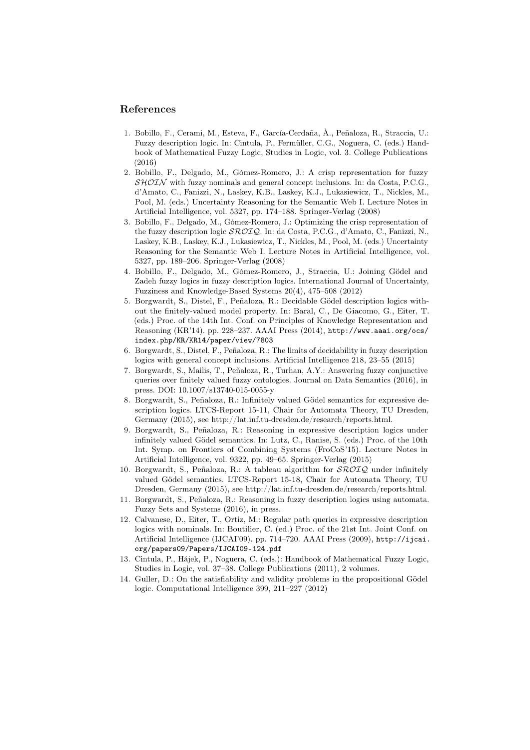## References

- 1. Bobillo, F., Cerami, M., Esteva, F., García-Cerdaña, À., Peñaloza, R., Straccia, U.: Fuzzy description logic. In: Cintula, P., Fermüller, C.G., Noguera, C. (eds.) Handbook of Mathematical Fuzzy Logic, Studies in Logic, vol. 3. College Publications (2016)
- 2. Bobillo, F., Delgado, M., Gómez-Romero, J.: A crisp representation for fuzzy  $\mathcal{SHOLN}$  with fuzzy nominals and general concept inclusions. In: da Costa, P.C.G., d'Amato, C., Fanizzi, N., Laskey, K.B., Laskey, K.J., Lukasiewicz, T., Nickles, M., Pool, M. (eds.) Uncertainty Reasoning for the Semantic Web I. Lecture Notes in Artificial Intelligence, vol. 5327, pp. 174–188. Springer-Verlag (2008)
- 3. Bobillo, F., Delgado, M., Gómez-Romero, J.: Optimizing the crisp representation of the fuzzy description logic SROIQ. In: da Costa, P.C.G., d'Amato, C., Fanizzi, N., Laskey, K.B., Laskey, K.J., Lukasiewicz, T., Nickles, M., Pool, M. (eds.) Uncertainty Reasoning for the Semantic Web I. Lecture Notes in Artificial Intelligence, vol. 5327, pp. 189–206. Springer-Verlag (2008)
- 4. Bobillo, F., Delgado, M., Gómez-Romero, J., Straccia, U.: Joining Gödel and Zadeh fuzzy logics in fuzzy description logics. International Journal of Uncertainty, Fuzziness and Knowledge-Based Systems 20(4), 475–508 (2012)
- 5. Borgwardt, S., Distel, F., Peñaloza, R.: Decidable Gödel description logics without the finitely-valued model property. In: Baral, C., De Giacomo, G., Eiter, T. (eds.) Proc. of the 14th Int. Conf. on Principles of Knowledge Representation and Reasoning (KR'14). pp. 228–237. AAAI Press (2014), http://www.aaai.org/ocs/ index.php/KR/KR14/paper/view/7803
- 6. Borgwardt, S., Distel, F., Peñaloza, R.: The limits of decidability in fuzzy description logics with general concept inclusions. Artificial Intelligence 218, 23–55 (2015)
- 7. Borgwardt, S., Mailis, T., Peñaloza, R., Turhan, A.Y.: Answering fuzzy conjunctive queries over finitely valued fuzzy ontologies. Journal on Data Semantics (2016), in press. DOI: 10.1007/s13740-015-0055-y
- 8. Borgwardt, S., Peñaloza, R.: Infinitely valued Gödel semantics for expressive description logics. LTCS-Report 15-11, Chair for Automata Theory, TU Dresden, Germany (2015), see http://lat.inf.tu-dresden.de/research/reports.html.
- 9. Borgwardt, S., Peñaloza, R.: Reasoning in expressive description logics under infinitely valued Gödel semantics. In: Lutz, C., Ranise, S. (eds.) Proc. of the 10th Int. Symp. on Frontiers of Combining Systems (FroCoS'15). Lecture Notes in Artificial Intelligence, vol. 9322, pp. 49–65. Springer-Verlag (2015)
- 10. Borgwardt, S., Peñaloza, R.: A tableau algorithm for  $\mathcal{SROLQ}$  under infinitely valued Gödel semantics. LTCS-Report 15-18, Chair for Automata Theory, TU Dresden, Germany (2015), see http://lat.inf.tu-dresden.de/research/reports.html.
- 11. Borgwardt, S., Peñaloza, R.: Reasoning in fuzzy description logics using automata. Fuzzy Sets and Systems (2016), in press.
- 12. Calvanese, D., Eiter, T., Ortiz, M.: Regular path queries in expressive description logics with nominals. In: Boutilier, C. (ed.) Proc. of the 21st Int. Joint Conf. on Artificial Intelligence (IJCAI'09). pp. 714–720. AAAI Press (2009), http://ijcai. org/papers09/Papers/IJCAI09-124.pdf
- 13. Cintula, P., Hájek, P., Noguera, C. (eds.): Handbook of Mathematical Fuzzy Logic, Studies in Logic, vol. 37–38. College Publications (2011), 2 volumes.
- 14. Guller, D.: On the satisfiability and validity problems in the propositional Gödel logic. Computational Intelligence 399, 211–227 (2012)